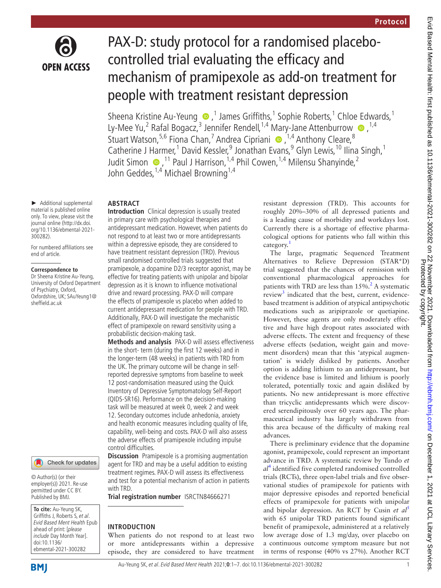

# PAX-D: study protocol for a randomised placebocontrolled trial evaluating the efficacy and mechanism of pramipexole as add-on treatment for people with treatment resistant depression

SheenaKristine Au-Yeung  $\bullet$ ,<sup>1</sup> James Griffiths,<sup>1</sup> Sophie Roberts,<sup>1</sup> Chloe Edwards,<sup>1</sup> Ly-Mee Yu,<sup>2</sup> Rafal Bogacz,<sup>3</sup> Jennifer Rendell,<sup>1,4</sup> Mary-Jane Attenburrow  $\bullet$ ,<sup>1,4</sup> StuartWatson,<sup>5,6</sup> Fiona Chan,<sup>7</sup> Andrea Cipriani (D, <sup>1,4</sup> Anthony Cleare,<sup>8</sup> Catherine J Harmer,<sup>1</sup> David Kessler,<sup>9</sup> Jonathan Evans,<sup>9</sup> Glyn Lewis,<sup>10</sup> Ilina Singh,<sup>1</sup> JuditSimon  $\bigcirc$ , <sup>11</sup> Paul J Harrison, <sup>1,4</sup> Phil Cowen, <sup>1,4</sup> Milensu Shanyinde, <sup>2</sup> John Geddes, <sup>1,4</sup> Michael Browning <sup>1,4</sup>

## **ABSTRACT**

► Additional supplemental material is published online only. To view, please visit the journal online ([http://dx.doi.](http://dx.doi.org/10.1136/ebmental-2021-300282) [org/10.1136/ebmental-2021-](http://dx.doi.org/10.1136/ebmental-2021-300282) [300282](http://dx.doi.org/10.1136/ebmental-2021-300282)).

For numbered affiliations see end of article.

#### **Correspondence to**

Dr Sheena Kristine Au-Yeung, University of Oxford Department of Psychiatry, Oxford, Oxfordshire, UK; SAuYeung1@ sheffield.ac.uk



© Author(s) (or their employer(s)) 2021. Re-use permitted under CC BY. Published by BMJ.

**To cite:** Au-Yeung SK, Griffiths J, Roberts S, et al. Evid Based Ment Health Epub ahead of print: [please include Day Month Year]. doi:10.1136/ ebmental-2021-300282

**Introduction** Clinical depression is usually treated in primary care with psychological therapies and antidepressant medication. However, when patients do not respond to at least two or more antidepressants within a depressive episode, they are considered to have treatment resistant depression (TRD). Previous small randomised controlled trials suggested that pramipexole, a dopamine D2/3 receptor agonist, may be effective for treating patients with unipolar and bipolar depression as it is known to influence motivational drive and reward processing. PAX-D will compare the effects of pramipexole vs placebo when added to current antidepressant medication for people with TRD. Additionally, PAX-D will investigate the mechanistic effect of pramipexole on reward sensitivity using a probabilistic decision-making task.

**Methods and analysis** PAX-D will assess effectiveness in the short- term (during the first 12 weeks) and in the longer-term (48 weeks) in patients with TRD from the UK. The primary outcome will be change in selfreported depressive symptoms from baseline to week 12 post-randomisation measured using the Quick Inventory of Depressive Symptomatology Self-Report (QIDS-SR16). Performance on the decision-making task will be measured at week 0, week 2 and week 12. Secondary outcomes include anhedonia, anxiety and health economic measures including quality of life, capability, well-being and costs. PAX-D will also assess the adverse effects of pramipexole including impulse control difficulties.

**Discussion** Pramipexole is a promising augmentation agent for TRD and may be a useful addition to existing treatment regimes. PAX-D will assess its effectiveness and test for a potential mechanism of action in patients with TRD.

**Trial registration number** <ISRCTN84666271>

## **INTRODUCTION**

When patients do not respond to at least two or more antidepressants within a depressive episode, they are considered to have treatment resistant depression (TRD). This accounts for roughly 20%–30% of all depressed patients and is a leading cause of morbidity and workdays lost. Currently there is a shortage of effective pharmacological options for patients who fall within this category.<sup>[1](#page-6-0)</sup>

The large, pragmatic Sequenced Treatment Alternatives to Relieve Depression (STAR\*D) trial suggested that the chances of remission with conventional pharmacological approaches for patients with TRD are less than  $15\%$ .<sup>[2](#page-6-1)</sup> A systematic review<sup>3</sup> indicated that the best, current, evidencebased treatment is addition of atypical antipsychotic medications such as aripiprazole or quetiapine. However, these agents are only moderately effective and have high dropout rates associated with adverse effects. The extent and frequency of these adverse effects (sedation, weight gain and movement disorders) mean that this 'atypical augmentation' is widely disliked by patients. Another option is adding lithium to an antidepressant, but the evidence base is limited and lithium is poorly tolerated, potentially toxic and again disliked by patients. No new antidepressant is more effective than tricyclic antidepressants which were discovered serendipitously over 60 years ago. The pharmaceutical industry has largely withdrawn from this area because of the difficulty of making real advances.

There is preliminary evidence that the dopamine agonist, pramipexole, could represent an important advance in TRD. A systematic review by Tundo *et al*[4](#page-6-3) identified five completed randomised controlled trials (RCTs), three open-label trials and five observational studies of pramipexole for patients with major depressive episodes and reported beneficial effects of pramipexole for patients with unipolar and bipolar depression. An RCT by Cusin *et al*[5](#page-6-4) with 65 unipolar TRD patients found significant benefit of pramipexole, administered at a relatively low average dose of 1.3 mg/day, over placebo on a continuous outcome symptom measure but not in terms of response (40% vs 27%). Another RCT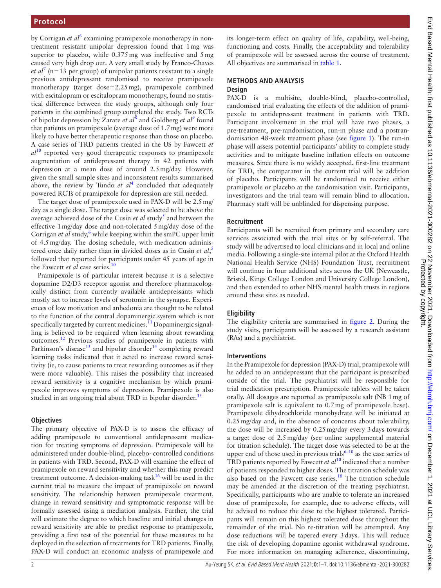by Corrigan *et al*<sup>[6](#page-6-5)</sup> examining pramipexole monotherapy in nontreatment resistant unipolar depression found that 1mg was superior to placebo, while 0.375 mg was ineffective and 5 mg caused very high drop out. A very small study by Franco-Chaves *et al*<sup>[7](#page-6-6)</sup> (n=13 per group) of unipolar patients resistant to a single previous antidepressant randomised to receive pramipexole monotherapy (target dose=2.25mg), pramipexole combined with escitalopram or escitalopram monotherapy, found no statistical difference between the study groups, although only four patients in the combined group completed the study. Two RCTs of bipolar depression by Zarate *et al*<sup>[8](#page-6-7)</sup> and Goldberg *et al*<sup>[9](#page-6-8)</sup> found that patients on pramipexole (average dose of 1.7mg) were more likely to have better therapeutic response than those on placebo. A case series of TRD patients treated in the US by Fawcett *et al*[10](#page-6-9) reported very good therapeutic responses to pramipexole augmentation of antidepressant therapy in 42 patients with depression at a mean dose of around 2.5mg/day. However, given the small sample sizes and inconsistent results summarised above, the review by Tundo  $et \t al<sup>4</sup>$  $et \t al<sup>4</sup>$  $et \t al<sup>4</sup>$  concluded that adequately powered RCTs of pramipexole for depression are still needed.

The target dose of pramipexole used in PAX-D will be 2.5mg/ day as a single dose. The target dose was selected to be above the average achieved dose of the Cusin *et al* study<sup>5</sup> and between the effective 1mg/day dose and non-tolerated 5mg/day dose of the Corrigan et al study,<sup>[6](#page-6-5)</sup> while keeping within the smPC upper limit of 4.5mg/day. The dosing schedule, with medication administered once daily rather than in divided doses as in Cusin *et al*, [5](#page-6-4) followed that reported for participants under 45 years of age in the Fawcett *et al* case series.<sup>[10](#page-6-9)</sup>

Pramipexole is of particular interest because it is a selective dopamine D2/D3 receptor agonist and therefore pharmacologically distinct from currently available antidepressants which mostly act to increase levels of serotonin in the synapse. Experiences of low motivation and anhedonia are thought to be related to the function of the central dopaminergic system which is not specifically targeted by current medicines.<sup>11</sup> Dopaminergic signalling is believed to be required when learning about rewarding outcomes[.12](#page-6-11) Previous studies of pramipexole in patients with Parkinson's disease<sup>[13](#page-6-12)</sup> and bipolar disorder<sup>14</sup> completing reward learning tasks indicated that it acted to increase reward sensitivity (ie, to cause patients to treat rewarding outcomes as if they were more valuable). This raises the possibility that increased reward sensitivity is a cognitive mechanism by which pramipexole improves symptoms of depression. Pramipexole is also studied in an ongoing trial about TRD in bipolar disorder.<sup>15</sup>

## **Objectives**

The primary objective of PAX-D is to assess the efficacy of adding pramipexole to conventional antidepressant medication for treating symptoms of depression. Pramipexole will be administered under double-blind, placebo- controlled conditions in patients with TRD. Second, PAX-D will examine the effect of pramipexole on reward sensitivity and whether this may predict treatment outcome. A decision-making task $16$  will be used in the current trial to measure the impact of pramipexole on reward sensitivity. The relationship between pramipexole treatment, change in reward sensitivity and symptomatic response will be formally assessed using a mediation analysis. Further, the trial will estimate the degree to which baseline and initial changes in reward sensitivity are able to predict response to pramipexole, providing a first test of the potential for these measures to be deployed in the selection of treatments for TRD patients. Finally, PAX-D will conduct an economic analysis of pramipexole and

its longer-term effect on quality of life, capability, well-being, functioning and costs. Finally, the acceptability and tolerability of pramipexole will be assessed across the course of treatment. All objectives are summarised in [table](#page-2-0) 1.

## **METHODS AND ANALYSIS Design**

PAX-D is a multisite, double-blind, placebo-controlled, randomised trial evaluating the effects of the addition of pramipexole to antidepressant treatment in patients with TRD. Participant involvement in the trial will have two phases, a pre-treatment, pre-randomisation, run-in phase and a postrandomisation 48-week treatment phase (see [figure](#page-3-0) 1). The run-in phase will assess potential participants' ability to complete study activities and to mitigate baseline inflation effects on outcome measures. Since there is no widely accepted, first-line treatment for TRD, the comparator in the current trial will be addition of placebo. Participants will be randomised to receive either pramipexole or placebo at the randomisation visit. Participants, investigators and the trial team will remain blind to allocation. Pharmacy staff will be unblinded for dispensing purpose.

## **Recruitment**

Participants will be recruited from primary and secondary care services associated with the trial sites or by self-referral. The study will be advertised to local clinicians and in local and online media. Following a single-site internal pilot at the Oxford Health National Health Service (NHS) Foundation Trust, recruitment will continue in four additional sites across the UK (Newcastle, Bristol, Kings College London and University College London), and then extended to other NHS mental health trusts in regions around these sites as needed.

# **Eligibility**

The eligibility criteria are summarised in [figure](#page-3-1) 2. During the study visits, participants will be assessed by a research assistant (RAs) and a psychiatrist.

## **Interventions**

In the Pramipexole for depression (PAX-D) trial, pramipexole will be added to an antidepressant that the participant is prescribed outside of the trial. The psychiatrist will be responsible for trial medication prescription. Pramipexole tablets will be taken orally. All dosages are reported as pramipexole salt (NB 1mg of pramipexole salt is equivalent to 0.7mg of pramipexole base). Pramipexole dihydrochloride monohydrate will be initiated at 0.25mg/day and, in the absence of concerns about tolerability, the dose will be increased by 0.25mg/day every 3days towards a target dose of 2.5mg/day (see [online supplemental material](https://dx.doi.org/10.1136/ebmental-2021-300282) for titration schedule). The target dose was selected to be at the upper end of those used in previous trials $6-10$  as the case series of TRD patients reported by Fawcett *et al*[10](#page-6-9) indicated that a number of patients responded to higher doses. The titration schedule was also based on the Fawcett case series.[10](#page-6-9) The titration schedule may be amended at the discretion of the treating psychiatrist. Specifically, participants who are unable to tolerate an increased dose of pramipexole, for example, due to adverse effects, will be advised to reduce the dose to the highest tolerated. Participants will remain on this highest tolerated dose throughout the remainder of the trial. No re-titration will be attempted. Any dose reductions will be tapered every 3days. This will reduce the risk of developing dopamine agonist withdrawal syndrome. For more information on managing adherence, discontinuing,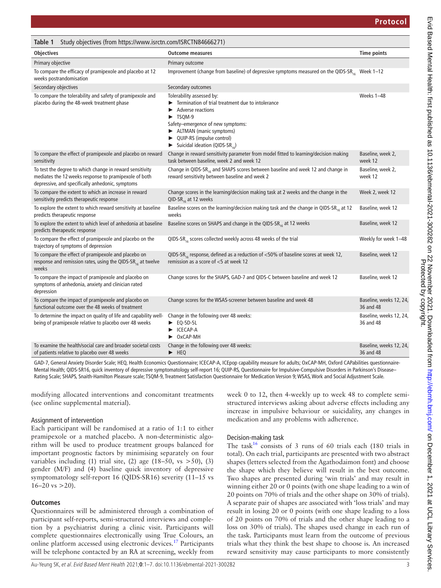<span id="page-2-0"></span>

| Study objectives (from https://www.isrctn.com/ISRCTN84666271)<br>Table 1                                                                                              |                                                                                                                                                                                                                                                                                  |                                      |
|-----------------------------------------------------------------------------------------------------------------------------------------------------------------------|----------------------------------------------------------------------------------------------------------------------------------------------------------------------------------------------------------------------------------------------------------------------------------|--------------------------------------|
| <b>Objectives</b>                                                                                                                                                     | <b>Outcome measures</b>                                                                                                                                                                                                                                                          | <b>Time points</b>                   |
| Primary objective                                                                                                                                                     | Primary outcome                                                                                                                                                                                                                                                                  |                                      |
| To compare the efficacy of pramipexole and placebo at 12<br>weeks postrandomisation                                                                                   | Improvement (change from baseline) of depressive symptoms measured on the QIDS-SR <sub>16</sub> Week 1-12                                                                                                                                                                        |                                      |
| Secondary objectives                                                                                                                                                  | Secondary outcomes                                                                                                                                                                                                                                                               |                                      |
| To compare the tolerability and safety of pramipexole and<br>placebo during the 48-week treatment phase                                                               | Tolerability assessed by:<br>Termination of trial treatment due to intolerance<br>Adverse reactions<br>$\blacktriangleright$ TSQM-9<br>Safety-emergence of new symptoms:<br>ALTMAN (manic symptoms)<br>▶ QUIP-RS (impulse control)<br>Suicidal ideation (QIDS-SR <sub>16</sub> ) | Weeks 1-48                           |
| To compare the effect of pramipexole and placebo on reward<br>sensitivity                                                                                             | Change in reward sensitivity parameter from model fitted to learning/decision making<br>task between baseline, week 2 and week 12                                                                                                                                                | Baseline, week 2,<br>week 12         |
| To test the degree to which change in reward sensitivity<br>mediates the 12 weeks response to pramipexole of both<br>depressive, and specifically anhedonic, symptoms | Change in QIDS-SR <sub>16</sub> and SHAPS scores between baseline and week 12 and change in<br>reward sensitivity between baseline and week 2                                                                                                                                    | Baseline, week 2,<br>week 12         |
| To compare the extent to which an increase in reward<br>sensitivity predicts therapeutic response                                                                     | Change scores in the learning/decision making task at 2 weeks and the change in the<br>QID-SR <sub>16</sub> at 12 weeks                                                                                                                                                          | Week 2, week 12                      |
| To explore the extent to which reward sensitivity at baseline<br>predicts therapeutic response                                                                        | Baseline scores on the learning/decision making task and the change in QIDS-SR <sub>16</sub> at 12<br>weeks                                                                                                                                                                      | Baseline, week 12                    |
| To explore the extent to which level of anhedonia at baseline<br>predicts therapeutic response                                                                        | Baseline scores on SHAPS and change in the QIDS-SR <sub>16</sub> at 12 weeks                                                                                                                                                                                                     | Baseline, week 12                    |
| To compare the effect of pramipexole and placebo on the<br>trajectory of symptoms of depression                                                                       | QIDS-SR <sub>16</sub> scores collected weekly across 48 weeks of the trial                                                                                                                                                                                                       | Weekly for week 1-48                 |
| To compare the effect of pramipexole and placebo on<br>response and remission rates, using the QIDS-SR $_{16}$ at twelve<br>weeks                                     | QIDS-SR <sub>16</sub> response, defined as a reduction of $<$ 50% of baseline scores at week 12,<br>remission as a score of <5 at week 12                                                                                                                                        | Baseline, week 12                    |
| To compare the impact of pramipexole and placebo on<br>symptoms of anhedonia, anxiety and clinician rated<br>depression                                               | Change scores for the SHAPS, GAD-7 and QIDS-C between baseline and week 12                                                                                                                                                                                                       | Baseline, week 12                    |
| To compare the impact of pramipexole and placebo on<br>functional outcome over the 48 weeks of treatment                                                              | Change scores for the WSAS-screener between baseline and week 48                                                                                                                                                                                                                 | Baseline, weeks 12, 24,<br>36 and 48 |
| To determine the impact on quality of life and capability well-<br>being of pramipexole relative to placebo over 48 weeks                                             | Change in the following over 48 weeks:<br>$\blacktriangleright$ EQ-5D-5L<br>CECAP-A<br>$\triangleright$ OxCAP-MH                                                                                                                                                                 | Baseline, weeks 12, 24,<br>36 and 48 |
| To examine the health/social care and broader societal costs<br>of patients relative to placebo over 48 weeks                                                         | Change in the following over 48 weeks:<br>$\blacktriangleright$ HEQ                                                                                                                                                                                                              | Baseline, weeks 12, 24,<br>36 and 48 |

GAD-7, General Anxiety Disorder Scale; HEQ, Health Economics Questionnaire; ICECAP-A, ICEpop capability measure for adults; OxCAP-MH, Oxford CAPabilities questionnaire-Mental Health; QIDS-SR16, quick inventory of depressive symptomatology self-report 16; QUIP-RS, Questionnaire for Impulsive-Compulsive Disorders in Parkinson's Disease– Rating Scale; SHAPS, Snaith-Hamilton Pleasure scale; TSQM-9, Treatment Satisfaction Questionnaire for Medication Version 9; WSAS, Work and Social Adjustment Scale.

modifying allocated interventions and concomitant treatments (see [online supplemental material](https://dx.doi.org/10.1136/ebmental-2021-300282)).

## Assignment of intervention

Each participant will be randomised at a ratio of 1:1 to either pramipexole or a matched placebo. A non-deterministic algorithm will be used to produce treatment groups balanced for important prognostic factors by minimising separately on four variables including (1) trial site, (2) age (18-50, vs  $>50$ ), (3) gender (M/F) and (4) baseline quick inventory of depressive symptomatology self-report 16 (QIDS-SR16) severity (11–15 vs  $16-20$  vs  $>20$ ).

# **Outcomes**

Questionnaires will be administered through a combination of participant self-reports, semi-structured interviews and completion by a psychiatrist during a clinic visit. Participants will complete questionnaires electronically using True Colours, an online platform accessed using electronic devices[.17](#page-6-16) Participants will be telephone contacted by an RA at screening, weekly from

week 0 to 12, then 4-weekly up to week 48 to complete semistructured interviews asking about adverse effects including any increase in impulsive behaviour or suicidality, any changes in medication and any problems with adherence.

# Decision-making task

The task<sup>16</sup> consists of 3 runs of 60 trials each (180 trials in total). On each trial, participants are presented with two abstract shapes (letters selected from the Agathodaimon font) and choose the shape which they believe will result in the best outcome. Two shapes are presented during 'win trials' and may result in winning either 20 or 0 points (with one shape leading to a win of 20 points on 70% of trials and the other shape on 30% of trials). A separate pair of shapes are associated with 'loss trials' and may result in losing 20 or 0 points (with one shape leading to a loss of 20 points on 70% of trials and the other shape leading to a loss on 30% of trials). The shapes used change in each run of the task. Participants must learn from the outcome of previous trials what they think the best shape to choose is. An increased reward sensitivity may cause participants to more consistently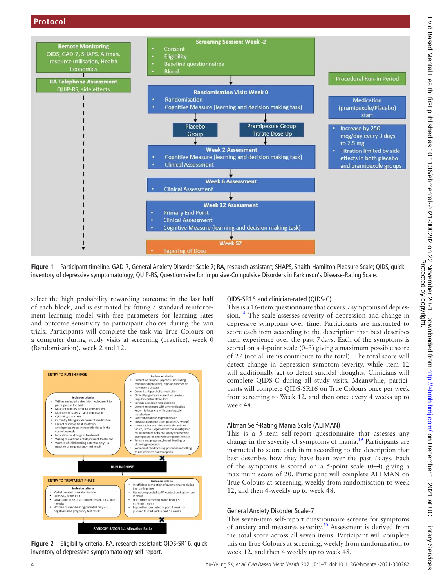

<span id="page-3-0"></span>**Figure 1** Participant timeline. GAD-7, General Anxiety Disorder Scale 7; RA, research assistant; SHAPS, Snaith-Hamilton Pleasure Scale; QIDS, quick inventory of depressive symptomatology; QUIP-RS, Questionnaire for Impulsive-Compulsive Disorders in Parkinson's Disease-Rating Scale.

select the high probability rewarding outcome in the last half of each block, and is estimated by fitting a standard reinforcement learning model with free parameters for learning rates and outcome sensitivity to participant choices during the win trials. Participants will complete the task via True Colours on a computer during study visits at screening (practice), week 0 (Randomisation), week 2 and 12.



<span id="page-3-1"></span>**Figure 2** Eligibility criteria. RA, research assistant; QIDS-SR16, quick inventory of depressive symptomatology self-report.

## QIDS-SR16 and clinician-rated (QIDS-C)

This is a 16-item questionnaire that covers 9 symptoms of depression.<sup>18</sup> The scale assesses severity of depression and change in depressive symptoms over time. Participants are instructed to score each item according to the description that best describes their experience over the past 7days. Each of the symptoms is scored on a 4-point scale (0–3) giving a maximum possible score of 27 (not all items contribute to the total). The total score will detect change in depression symptom-severity, while item 12 will additionally act to detect suicidal thoughts. Clinicians will complete QIDS-C during all study visits. Meanwhile, participants will complete QIDS-SR16 on True Colours once per week from screening to Week 12, and then once every 4 weeks up to week 48.

#### Altman Self-Rating Mania Scale (ALTMAN)

This is a 5-item self-report questionnaire that assesses any change in the severity of symptoms of mania[.19](#page-6-18) Participants are instructed to score each item according to the description that best describes how they have been over the past 7days. Each of the symptoms is scored on a 5-point scale (0–4) giving a maximum score of 20. Participant will complete ALTMAN on True Colours at screening, weekly from randomisation to week 12, and then 4-weekly up to week 48.

#### General Anxiety Disorder Scale-7

This seven-item self-report questionnaire screens for symptoms of anxiety and measures severity. $20$  Assessment is derived from the total score across all seven items. Participant will complete this on True Colours at screening, weekly from randomisation to week 12, and then 4 weekly up to week 48.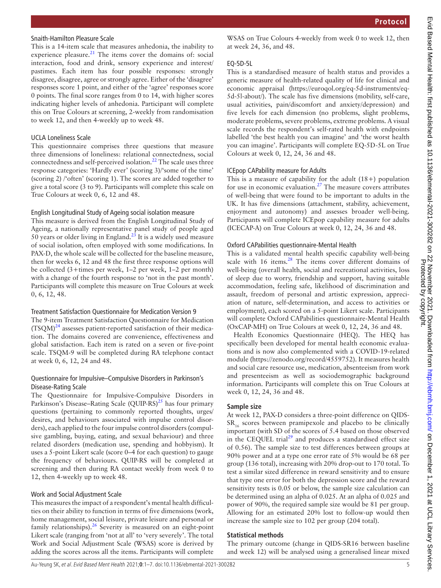## **Protocol**

#### Snaith-Hamilton Pleasure Scale

This is a 14-item scale that measures anhedonia, the inability to experience pleasure.<sup>[21](#page-6-20)</sup> The items cover the domains of: social interaction, food and drink, sensory experience and interest/ pastimes. Each item has four possible responses: strongly disagree, disagree, agree or strongly agree. Either of the 'disagree' responses score 1 point, and either of the 'agree' responses score 0 points. The final score ranges from 0 to 14, with higher scores indicating higher levels of anhedonia. Participant will complete this on True Colours at screening, 2-weekly from randomisation to week 12, and then 4-weekly up to week 48.

#### UCLA Loneliness Scale

This questionnaire comprises three questions that measure three dimensions of loneliness: relational connectedness, social connectedness and self-perceived isolation[.22](#page-6-21) The scale uses three response categories: 'Hardly ever' (scoring 3)/'some of the time' (scoring 2) /'often' (scoring 1). The scores are added together to give a total score (3 to 9). Participants will complete this scale on True Colours at week 0, 6, 12 and 48.

## English Longitudinal Study of Ageing social isolation measure

This measure is derived from the English Longitudinal Study of Ageing, a nationally representative panel study of people aged 50 years or older living in England.<sup>[23](#page-6-22)</sup> It is a widely used measure of social isolation, often employed with some modifications. In PAX-D, the whole scale will be collected for the baseline measure, then for weeks 6, 12 and 48 the first three response options will be collected (3+times per week, 1–2 per week, 1–2 per month) with a change of the fourth response to 'not in the past month'. Participants will complete this measure on True Colours at week 0, 6, 12, 48.

#### Treatment Satisfaction Questionnaire for Medication Version 9

The 9-item Treatment Satisfaction Questionnaire for Medication  $(TSQM)^{24}$  $(TSQM)^{24}$  $(TSQM)^{24}$  assesses patient-reported satisfaction of their medication. The domains covered are convenience, effectiveness and global satisfaction. Each item is rated on a seven or five-point scale. TSQM-9 will be completed during RA telephone contact at week 0, 6, 12, 24 and 48.

#### Questionnaire for Impulsive–Compulsive Disorders in Parkinson's Disease-Rating Scale

The Questionnaire for Impulsive-Compulsive Disorders in Parkinson's Disease–Rating Scale  $(QUIP-RS)^{25}$  has four primary questions (pertaining to commonly reported thoughts, urges/ desires, and behaviours associated with impulse control disorders), each applied to the four impulse control disorders (compulsive gambling, buying, eating, and sexual behaviour) and three related disorders (medication use, spending and hobbyism). It uses a 5-point Likert scale (score 0–4 for each question) to gauge the frequency of behaviours. QUIP-RS will be completed at screening and then during RA contact weekly from week 0 to 12, then 4-weekly up to week 48.

#### Work and Social Adjustment Scale

This measures the impact of a respondent's mental health difficulties on their ability to function in terms of five dimensions (work, home management, social leisure, private leisure and personal or family relationships).<sup>[26](#page-6-25)</sup> Severity is measured on an eight-point Likert scale (ranging from 'not at all' to 'very severely'. The total Work and Social Adjustment Scale (WSAS) score is derived by adding the scores across all the items. Participants will complete

WSAS on True Colours 4-weekly from week 0 to week 12, then at week 24, 36, and 48.

#### EQ-5D-5L

This is a standardised measure of health status and provides a generic measure of health-related quality of life for clinical and economic appraisal [\(https://euroqol.org/eq-5d-instruments/eq-](https://euroqol.org/eq-5d-instruments/eq-5d-5l-about/)[5d-5l-about/\)](https://euroqol.org/eq-5d-instruments/eq-5d-5l-about/). The scale has five dimensions (mobility, self-care, usual activities, pain/discomfort and anxiety/depression) and five levels for each dimension (no problems, slight problems, moderate problems, severe problems, extreme problems. A visual scale records the respondent's self-rated health with endpoints labelled 'the best health you can imagine' and 'the worst health you can imagine'. Participants will complete EQ-5D-5L on True Colours at week 0, 12, 24, 36 and 48.

## ICEpop CAPability measure for Adults

This is a measure of capability for the adult  $(18+)$  population for use in economic evaluation.<sup>27</sup> The measure covers attributes of well-being that were found to be important to adults in the UK. It has five dimensions (attachment, stability, achievement, enjoyment and autonomy) and assesses broader well-being. Participants will complete ICEpop capability measure for adults (ICECAP-A) on True Colours at week 0, 12, 24, 36 and 48.

## Oxford CAPabilities questionnaire-Mental Health

This is a validated mental health specific capability well-being scale with 16 items.<sup>[28](#page-6-27)</sup> The items cover different domains of well-being (overall health, social and recreational activities, loss of sleep due to worry, friendship and support, having suitable accommodation, feeling safe, likelihood of discrimination and assault, freedom of personal and artistic expression, appreciation of nature, self-determination, and access to activities or employment), each scored on a 5-point Likert scale. Participants will complete Oxford CAPabilities questionnaire-Mental Health (OxCAP-MH) on True Colours at week 0, 12, 24, 36 and 48.

Health Economics Questionnaire (HEQ). The HEQ has specifically been developed for mental health economic evaluations and is now also complemented with a COVID-19-related module ([https://zenodo.org/record/4559752\)](https://zenodo.org/record/4559752). It measures health and social care resource use, medication, absenteeism from work and presenteeism as well as sociodemographic background information. Participants will complete this on True Colours at week 0, 12, 24, 36 and 48.

## **Sample size**

At week 12, PAX-D considers a three-point difference on QIDS- $SR_{16}$  scores between pramipexole and placebo to be clinically important (with SD of the scores of 5.4 based on those observed in the CEQUEL trial<sup>29</sup> and produces a standardised effect size of 0.56). The sample size to test differences between groups at 90% power and at a type one error rate of 5% would be 68 per group (136 total), increasing with 20% drop-out to 170 total. To test a similar sized difference in reward sensitivity and to ensure that type one error for both the depression score and the reward sensitivity tests is 0.05 or below, the sample size calculation can be determined using an alpha of 0.025. At an alpha of 0.025 and power of 90%, the required sample size would be 81 per group. Allowing for an estimated 20% lost to follow-up would then increase the sample size to 102 per group (204 total).

## **Statistical methods**

The primary outcome (change in QIDS-SR16 between baseline and week 12) will be analysed using a generalised linear mixed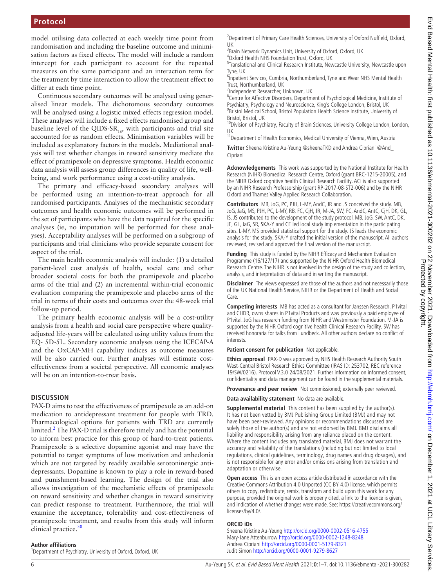model utilising data collected at each weekly time point from randomisation and including the baseline outcome and minimisation factors as fixed effects. The model will include a random intercept for each participant to account for the repeated measures on the same participant and an interaction term for the treatment by time interaction to allow the treatment effect to differ at each time point.

Continuous secondary outcomes will be analysed using generalised linear models. The dichotomous secondary outcomes will be analysed using a logistic mixed effects regression model. These analyses will include a fixed effects randomised group and baseline level of the QIDS-SR<sub>16</sub>, with participants and trial site accounted for as random effects. Minimisation variables will be included as explanatory factors in the models. Mediational analysis will test whether changes in reward sensitivity mediate the effect of pramipexole on depressive symptoms. Health economic data analysis will assess group differences in quality of life, wellbeing, and work performance using a cost-utility analysis.

The primary and efficacy-based secondary analyses will be performed using an intention-to-treat approach for all randomised participants. Analyses of the mechanistic secondary outcomes and health economic outcomes will be performed in the set of participants who have the data required for the specific analyses (ie, no imputation will be performed for these analyses). Acceptability analyses will be performed on a subgroup of participants and trial clinicians who provide separate consent for aspect of the trial.

The main health economic analysis will include: (1) a detailed patient-level cost analysis of health, social care and other broader societal costs for both the pramipexole and placebo arms of the trial and (2) an incremental within-trial economic evaluation comparing the pramipexole and placebo arms of the trial in terms of their costs and outcomes over the 48-week trial follow-up period.

The primary health economic analysis will be a cost-utility analysis from a health and social care perspective where qualityadjusted life-years will be calculated using utility values from the EQ- 5D-5L. Secondary economic analyses using the ICECAP-A and the OxCAP-MH capability indices as outcome measures will be also carried out. Further analyses will estimate costeffectiveness from a societal perspective. All economic analyses will be on an intention-to-treat basis.

#### **DISCUSSION**

PAX-D aims to test the effectiveness of pramipexole as an add-on medication to antidepressant treatment for people with TRD. Pharmacological options for patients with TRD are currently limited.<sup>[2](#page-6-1)</sup> The PAX-D trial is therefore timely and has the potential to inform best practice for this group of hard-to-treat patients. Pramipexole is a selective dopamine agonist and may have the potential to target symptoms of low motivation and anhedonia which are not targeted by readily available serotoninergic antidepressants. Dopamine is known to play a role in reward-based and punishment-based learning. The design of the trial also allows investigation of the mechanistic effects of pramipexole on reward sensitivity and whether changes in reward sensitivity can predict response to treatment. Furthermore, the trial will examine the acceptance, tolerability and cost-effectiveness of pramipexole treatment, and results from this study will inform clinical practice.<sup>[30](#page-6-29)</sup>

#### **Author affiliations**

<sup>1</sup>Department of Psychiatry, University of Oxford, Oxford, UK

<sup>2</sup> Department of Primary Care Health Sciences, University of Oxford Nuffield, Oxford, UK

<sup>3</sup>Brain Network Dynamics Unit, University of Oxford, Oxford, UK

4 Oxford Health NHS Foundation Trust, Oxford, UK

<sup>5</sup>Translational and Clinical Research Institute, Newcastle University, Newcastle upon Tyne, UK

<sup>6</sup>Inpatient Services, Cumbria, Northumberland, Tyne and Wear NHS Mental Health Trust, Northumberland, UK

<sup>7</sup>Independent Researcher, Unknown, UK

<sup>8</sup>Centre for Affective Disorders, Department of Psychological Medicine, Institute of Psychiatry, Psychology and Neuroscience, King's College London, Bristol, UK <sup>9</sup> Bristol Medical School, Bristol Population Health Science Institute, University of Bristol, Bristol, UK

<sup>10</sup>Division of Psychiatry, Faculty of Brain Sciences, University College London, London, UK

<sup>11</sup>Department of Health Economics, Medical University of Vienna, Wien, Austria

**Twitter** Sheena Kristine Au-Yeung [@sheenaTKD](https://twitter.com/sheenaTKD) and Andrea Cipriani [@And\\_](https://twitter.com/And_Cipriani) [Cipriani](https://twitter.com/And_Cipriani)

**Acknowledgements** This work was supported by the National Institute for Health Research (NIHR) Biomedical Research Centre, Oxford (grant BRC-1215-20005), and the NIHR Oxford cognitive health Clinical Research Facility. ACi is also supported by an NIHR Research Professorship (grant RP-2017-08-ST2-006) and by the NIHR Oxford and Thames Valley Applied Research Collaboration.

**Contributors** MB, JoG, PC, PJH, L-MY, AndC, JR and JS conceived the study. MB, JoG, JaG, MS, PJH, PC, L-MY, RB, FC, CjH, JR, M-JA, SW, FC, AndC, AntC, CjH, DK, GL, IS, JS contributed to the development of the study protocol. MB, JoG, SW, AntC, DK, JE, GL, JaG, SR, SKA-Y and CE led local study implementation in the participating sites. L-MY, MS provided statistical support for the study. JS leads the economic analysis for the study. SKA-Y drafted the initial version of the manuscript. All authors reviewed, revised and approved the final version of the manuscript.

**Funding** This study is funded by the NIHR Efficacy and Mechanism Evaluation Programme (16/127/17) and supported by the NIHR Oxford Health Biomedical Research Centre. The NIHR is not involved in the design of the study and collection, analysis, and interpretation of data and in writing the manuscript.

**Disclaimer** The views expressed are those of the authors and not necessarily those of the UK National Health Service, NIHR or the Department of Health and Social Care.

**Competing interests** MB has acted as a consultant for Janssen Research, P1vital and CHDR, owns shares in P1vital Products and was previously a paid employee of P1vital. JoG has research funding from NIHR and Westminster Foundation. M-JA is supported by the NIHR Oxford cognitive health Clinical Research Facility. SW has received honoraria for talks from Lundbeck. All other authors declare no conflict of interests.

**Patient consent for publication** Not applicable.

**Ethics approval** PAX-D was approved by NHS Health Research Authority South West-Central Bristol Research Ethics Committee (IRAS ID: 253702, REC reference 19/SW/0216). Protocol V.3.0 24/08/2021. Further information on informed consent, confidentiality and data management can be found in the supplemental materials.

**Provenance and peer review** Not commissioned; externally peer reviewed.

**Data availability statement** No data are available.

**Supplemental material** This content has been supplied by the author(s). It has not been vetted by BMJ Publishing Group Limited (BMJ) and may not have been peer-reviewed. Any opinions or recommendations discussed are solely those of the author(s) and are not endorsed by BMJ. BMJ disclaims all liability and responsibility arising from any reliance placed on the content. Where the content includes any translated material, BMJ does not warrant the accuracy and reliability of the translations (including but not limited to local regulations, clinical guidelines, terminology, drug names and drug dosages), and is not responsible for any error and/or omissions arising from translation and adaptation or otherwise.

**Open access** This is an open access article distributed in accordance with the Creative Commons Attribution 4.0 Unported (CC BY 4.0) license, which permits others to copy, redistribute, remix, transform and build upon this work for any purpose, provided the original work is properly cited, a link to the licence is given, and indication of whether changes were made. See: [https://creativecommons.org/](https://creativecommons.org/licenses/by/4.0/) [licenses/by/4.0/.](https://creativecommons.org/licenses/by/4.0/)

#### **ORCID iDs**

Sheena Kristine Au-Yeung<http://orcid.org/0000-0002-0516-4755> Mary-Jane Attenburrow <http://orcid.org/0000-0002-1248-8248> Andrea Cipriani <http://orcid.org/0000-0001-5179-8321> Judit Simon<http://orcid.org/0000-0001-9279-8627>